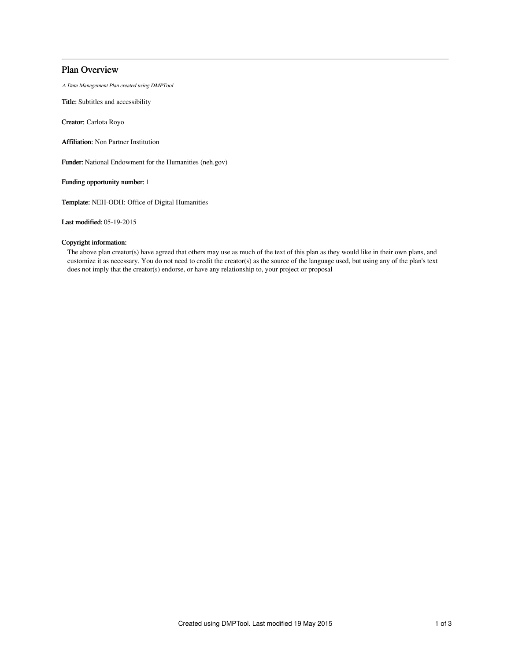# Plan Overview

A Data Management Plan created using DMPTool

Title: Subtitles and accessibility

Creator: Carlota Royo

Affiliation: Non Partner Institution

Funder: National Endowment for the Humanities (neh.gov)

Funding opportunity number: 1

Template: NEH-ODH: Office of Digital Humanities

Last modified: 05-19-2015

## Copyright information:

The above plan creator(s) have agreed that others may use as much of the text of this plan as they would like in their own plans, and customize it as necessary. You do not need to credit the creator(s) as the source of the language used, but using any of the plan's text does not imply that the creator(s) endorse, or have any relationship to, your project or proposal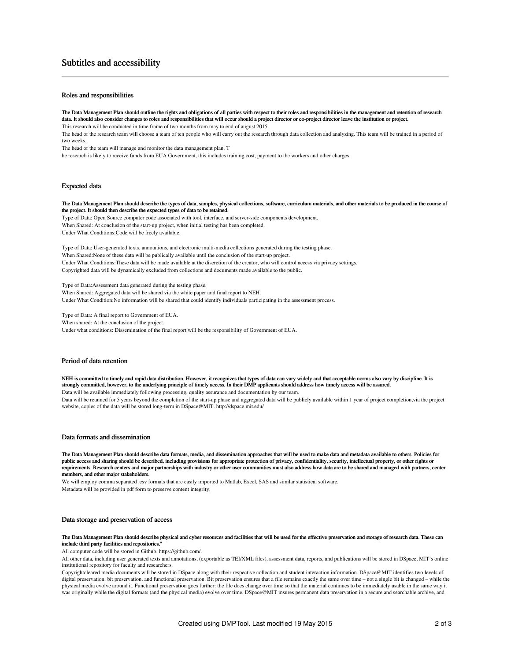## Subtitles and accessibility

### Roles and responsibilities

The Data Management Plan should outline the rights and obligations of all parties with respect to their roles and responsibilities in the management and retention of research data. It should also consider changes to roles and responsibilities that will occur should a project director or co-project director leave the institution or project. This research will be conducted in time frame of two months from may to end of august 2015.

The head of the research team will choose a team of ten people who will carry out the research through data collection and analyzing. This team will be trained in a period of two weeks.

The head of the team will manage and monitor the data management plan. T

he research is likely to receive funds from EUA Government, this includes training cost, payment to the workers and other charges.

#### Expected data

The Data Management Plan should describe the types of data, samples, physical collections, software, curriculum materials, and other materials to be produced in the course of the project. It should then describe the expected types of data to be retained.

Type of Data: Open Source computer code associated with tool, interface, and server-side components development. When Shared: At conclusion of the start-up project, when initial testing has been completed. Under What Conditions:Code will be freely available.

Type of Data: User-generated texts, annotations, and electronic multi-media collections generated during the testing phase. When Shared:None of these data will be publically available until the conclusion of the start-up project. Under What Conditions:These data will be made available at the discretion of the creator, who will control access via privacy settings. Copyrighted data will be dynamically excluded from collections and documents made available to the public.

Type of Data:Assessment data generated during the testing phase. When Shared: Aggregated data will be shared via the white paper and final report to NEH. Under What Condition:No information will be shared that could identify individuals participating in the assessment process.

Type of Data: A final report to Government of EUA. When shared: At the conclusion of the project. Under what conditions: Dissemination of the final report will be the responsibility of Government of EUA.

#### Period of data retention

NEH is committed to timely and rapid data distribution. However, it recognizes that types of data can vary widely and that acceptable norms also vary by discipline. It is strongly committed, however, to the underlying principle of timely access. In their DMP applicants should address how timely access will be assured. Data will be available immediately following processing, quality assurance and documentation by our team.

Data will be retained for 5 years beyond the completion of the start-up phase and aggregated data will be publicly available within 1 year of project completion,via the project website, copies of the data will be stored long-term in DSpace@MIT. http://dspace.mit.edu/

### Data formats and dissemination

The Data Management Plan should describe data formats, media, and dissemination approaches that will be used to make data and metadata available to others. Policies for public access and sharing should be described, including provisions for appropriate protection of privacy, confidentiality, security, intellectual property, or other rights or requirements. Research centers and major partnerships with industry or other user communities must also address how data are to be shared and managed with partners, center members, and other major stakeholders.

We will employ comma separated .csv formats that are easily imported to Matlab, Excel, SAS and similar statistical software. Metadata will be provided in pdf form to preserve content integrity.

#### Data storage and preservation of access

The Data Management Plan should describe physical and cyber resources and facilities that will be used for the effective preservation and storage of research data. These can include third party facilities and repositories."

All computer code will be stored in Github. https://github.com/.

All other data, including user generated texts and annotations, (exportable as TEI/XML files), assessment data, reports, and publications will be stored in DSpace, MIT's online institutional repository for faculty and researchers.

Copyrightcleared media documents will be stored in DSpace along with their respective collection and student interaction information. DSpace@MIT identifies two levels of digital preservation: bit preservation, and functional preservation. Bit preservation ensures that a file remains exactly the same over time – not a single bit is changed – while the physical media evolve around it. Functional preservation goes further: the file does change over time so that the material continues to be immediately usable in the same way it was originally while the digital formats (and the physical media) evolve over time. DSpace@MIT insures permanent data preservation in a secure and searchable archive, and